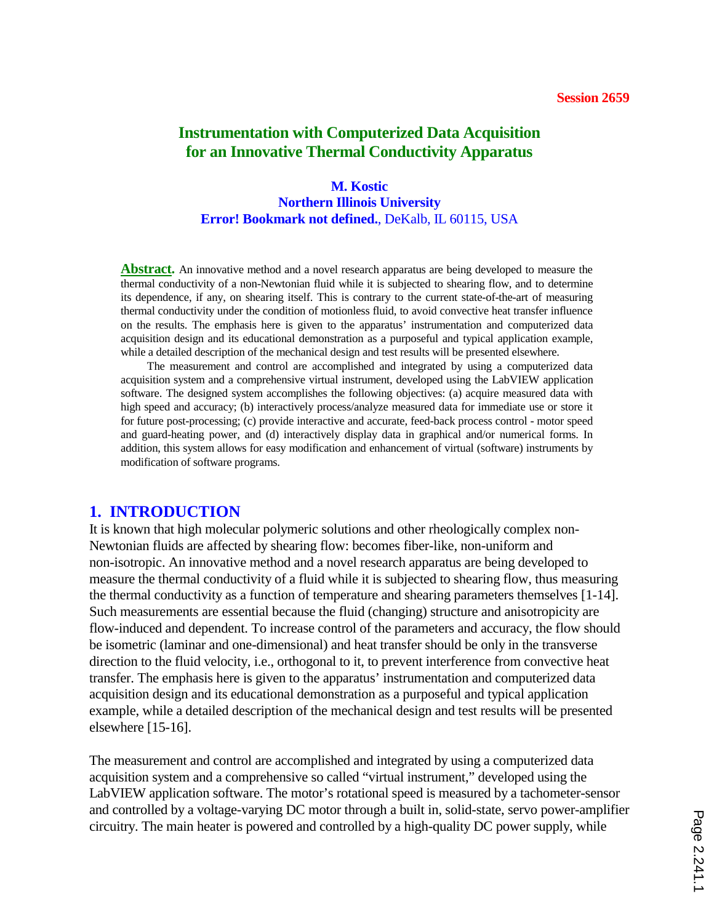## **Instrumentation with Computerized Data Acquisition for an Innovative Thermal Conductivity Apparatus**

**M. Kostic Northern Illinois University Error! Bookmark not defined.**, DeKalb, IL 60115, USA

Abstract. An innovative method and a novel research apparatus are being developed to measure the thermal conductivity of a non-Newtonian fluid while it is subjected to shearing flow, and to determine its dependence, if any, on shearing itself. This is contrary to the current state-of-the-art of measuring thermal conductivity under the condition of motionless fluid, to avoid convective heat transfer influence on the results. The emphasis here is given to the apparatus' instrumentation and computerized data acquisition design and its educational demonstration as a purposeful and typical application example, while a detailed description of the mechanical design and test results will be presented elsewhere.

The measurement and control are accomplished and integrated by using a computerized data acquisition system and a comprehensive virtual instrument, developed using the LabVIEW application software. The designed system accomplishes the following objectives: (a) acquire measured data with high speed and accuracy; (b) interactively process/analyze measured data for immediate use or store it for future post-processing; (c) provide interactive and accurate, feed-back process control - motor speed and guard-heating power, and (d) interactively display data in graphical and/or numerical forms. In addition, this system allows for easy modification and enhancement of virtual (software) instruments by modification of software programs.

#### **1. INTRODUCTION**

It is known that high molecular polymeric solutions and other rheologically complex non-Newtonian fluids are affected by shearing flow: becomes fiber-like, non-uniform and non-isotropic. An innovative method and a novel research apparatus are being developed to measure the thermal conductivity of a fluid while it is subjected to shearing flow, thus measuring the thermal conductivity as a function of temperature and shearing parameters themselves [1-14]. Such measurements are essential because the fluid (changing) structure and anisotropicity are flow-induced and dependent. To increase control of the parameters and accuracy, the flow should be isometric (laminar and one-dimensional) and heat transfer should be only in the transverse direction to the fluid velocity, i.e., orthogonal to it, to prevent interference from convective heat transfer. The emphasis here is given to the apparatus' instrumentation and computerized data acquisition design and its educational demonstration as a purposeful and typical application example, while a detailed description of the mechanical design and test results will be presented elsewhere [15-16].

The measurement and control are accomplished and integrated by using a computerized data acquisition system and a comprehensive so called "virtual instrument," developed using the LabVIEW application software. The motor's rotational speed is measured by a tachometer-sensor and controlled by a voltage-varying DC motor through a built in, solid-state, servo power-amplifier circuitry. The main heater is powered and controlled by a high-quality DC power supply, while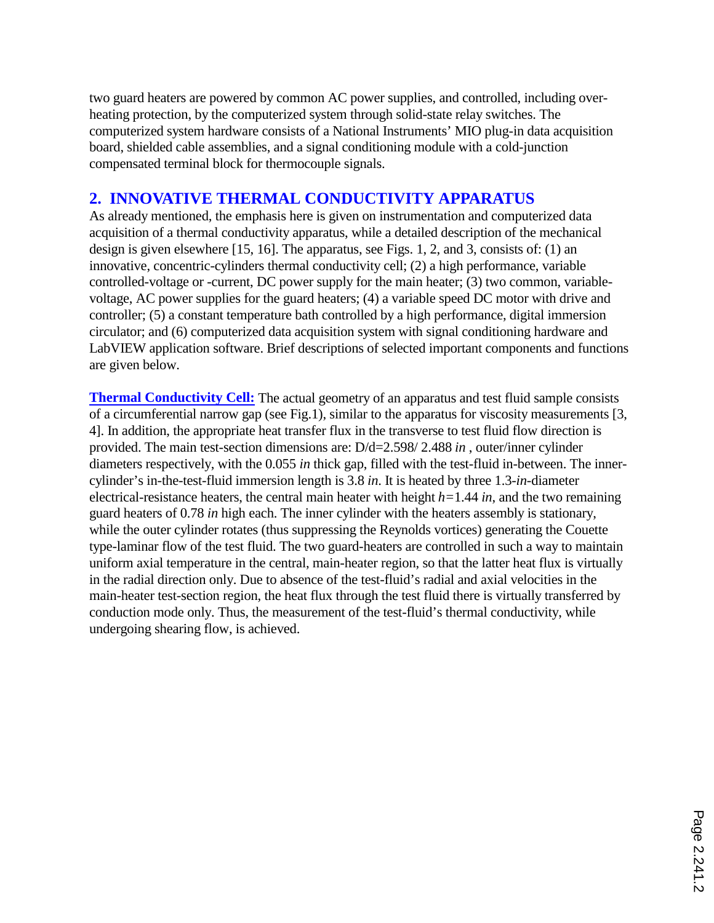two guard heaters are powered by common AC power supplies, and controlled, including overheating protection, by the computerized system through solid-state relay switches. The computerized system hardware consists of a National Instruments' MIO plug-in data acquisition board, shielded cable assemblies, and a signal conditioning module with a cold-junction compensated terminal block for thermocouple signals.

# **2. INNOVATIVE THERMAL CONDUCTIVITY APPARATUS**

As already mentioned, the emphasis here is given on instrumentation and computerized data acquisition of a thermal conductivity apparatus, while a detailed description of the mechanical design is given elsewhere [15, 16]. The apparatus, see Figs. 1, 2, and 3, consists of: (1) an innovative, concentric-cylinders thermal conductivity cell; (2) a high performance, variable controlled-voltage or -current, DC power supply for the main heater; (3) two common, variablevoltage, AC power supplies for the guard heaters; (4) a variable speed DC motor with drive and controller; (5) a constant temperature bath controlled by a high performance, digital immersion circulator; and (6) computerized data acquisition system with signal conditioning hardware and LabVIEW application software. Brief descriptions of selected important components and functions are given below.

**Thermal Conductivity Cell:** The actual geometry of an apparatus and test fluid sample consists of a circumferential narrow gap (see Fig.1), similar to the apparatus for viscosity measurements [3, 4]. In addition, the appropriate heat transfer flux in the transverse to test fluid flow direction is provided. The main test-section dimensions are: D/d=2.598/ 2.488 *in* , outer/inner cylinder diameters respectively, with the 0.055 *in* thick gap, filled with the test-fluid in-between. The innercylinder's in-the-test-fluid immersion length is 3.8 *in*. It is heated by three 1.3-*in*-diameter electrical-resistance heaters, the central main heater with height *h=*1.44 *in*, and the two remaining guard heaters of 0.78 *in* high each. The inner cylinder with the heaters assembly is stationary, while the outer cylinder rotates (thus suppressing the Reynolds vortices) generating the Couette type-laminar flow of the test fluid. The two guard-heaters are controlled in such a way to maintain uniform axial temperature in the central, main-heater region, so that the latter heat flux is virtually in the radial direction only. Due to absence of the test-fluid's radial and axial velocities in the main-heater test-section region, the heat flux through the test fluid there is virtually transferred by conduction mode only. Thus, the measurement of the test-fluid's thermal conductivity, while undergoing shearing flow, is achieved.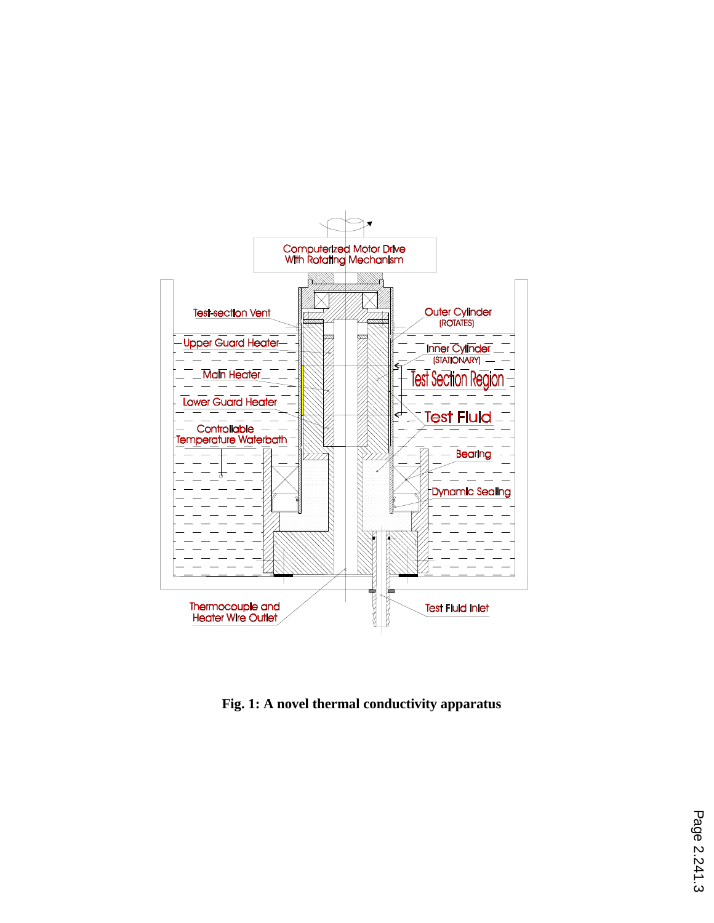

**Fig. 1: A novel thermal conductivity apparatus**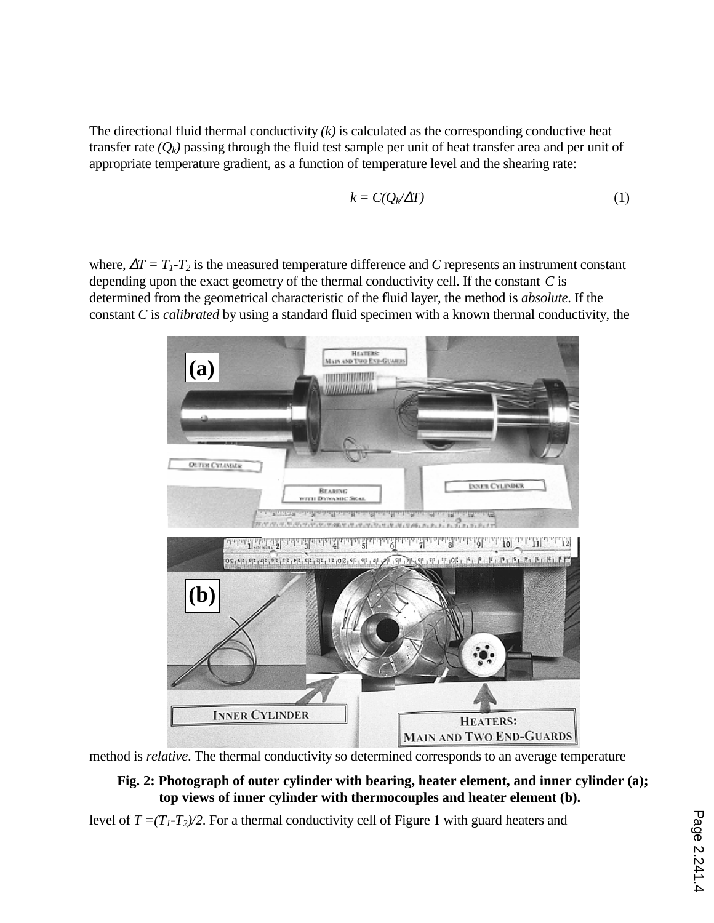The directional fluid thermal conductivity *(k)* is calculated as the corresponding conductive heat transfer rate  $(Q_k)$  passing through the fluid test sample per unit of heat transfer area and per unit of appropriate temperature gradient, as a function of temperature level and the shearing rate:

$$
k = C(Q_k/\Delta T) \tag{1}
$$

where,  $\Delta T = T_1 - T_2$  is the measured temperature difference and *C* represents an instrument constant depending upon the exact geometry of the thermal conductivity cell. If the constant *C* is determined from the geometrical characteristic of the fluid layer, the method is *absolute*. If the constant *C* is *calibrated* by using a standard fluid specimen with a known thermal conductivity, the



method is *relative*. The thermal conductivity so determined corresponds to an average temperature

#### **Fig. 2: Photograph of outer cylinder with bearing, heater element, and inner cylinder (a); top views of inner cylinder with thermocouples and heater element (b).**

level of  $T = (T_1 - T_2)/2$ . For a thermal conductivity cell of Figure 1 with guard heaters and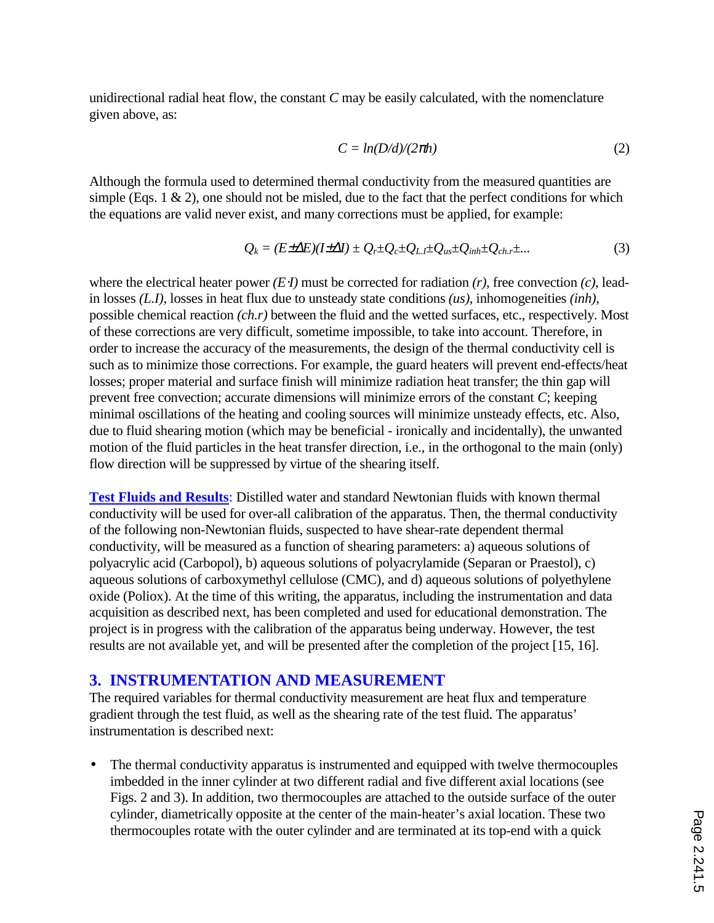unidirectional radial heat flow, the constant *C* may be easily calculated, with the nomenclature given above, as:

$$
C = \ln(D/d)/(2\pi h) \tag{2}
$$

Although the formula used to determined thermal conductivity from the measured quantities are simple (Eqs. 1  $\&$  2), one should not be misled, due to the fact that the perfect conditions for which the equations are valid never exist, and many corrections must be applied, for example:

$$
Q_k = (E \pm \Delta E)(I \pm \Delta I) \pm Q_r \pm Q_c \pm Q_{L1} \pm Q_{us} \pm Q_{inh} \pm Q_{ch.r} \pm ... \tag{3}
$$

where the electrical heater power *(E*⋅*I)* must be corrected for radiation *(r)*, free convection *(c)*, leadin losses *(L.I),* losses in heat flux due to unsteady state conditions *(us)*, inhomogeneities *(inh)*, possible chemical reaction *(ch.r)* between the fluid and the wetted surfaces, etc., respectively. Most of these corrections are very difficult, sometime impossible, to take into account. Therefore, in order to increase the accuracy of the measurements, the design of the thermal conductivity cell is such as to minimize those corrections. For example, the guard heaters will prevent end-effects/heat losses; proper material and surface finish will minimize radiation heat transfer; the thin gap will prevent free convection; accurate dimensions will minimize errors of the constant *C*; keeping minimal oscillations of the heating and cooling sources will minimize unsteady effects, etc. Also, due to fluid shearing motion (which may be beneficial - ironically and incidentally), the unwanted motion of the fluid particles in the heat transfer direction, i.e., in the orthogonal to the main (only) flow direction will be suppressed by virtue of the shearing itself.

**Test Fluids and Results**: Distilled water and standard Newtonian fluids with known thermal conductivity will be used for over-all calibration of the apparatus. Then, the thermal conductivity of the following non-Newtonian fluids, suspected to have shear-rate dependent thermal conductivity, will be measured as a function of shearing parameters: a) aqueous solutions of polyacrylic acid (Carbopol), b) aqueous solutions of polyacrylamide (Separan or Praestol), c) aqueous solutions of carboxymethyl cellulose (CMC), and d) aqueous solutions of polyethylene oxide (Poliox). At the time of this writing, the apparatus, including the instrumentation and data acquisition as described next, has been completed and used for educational demonstration. The project is in progress with the calibration of the apparatus being underway. However, the test results are not available yet, and will be presented after the completion of the project [15, 16].

## **3. INSTRUMENTATION AND MEASUREMENT**

The required variables for thermal conductivity measurement are heat flux and temperature gradient through the test fluid, as well as the shearing rate of the test fluid. The apparatus' instrumentation is described next:

• The thermal conductivity apparatus is instrumented and equipped with twelve thermocouples imbedded in the inner cylinder at two different radial and five different axial locations (see Figs. 2 and 3). In addition, two thermocouples are attached to the outside surface of the outer cylinder, diametrically opposite at the center of the main-heater's axial location. These two thermocouples rotate with the outer cylinder and are terminated at its top-end with a quick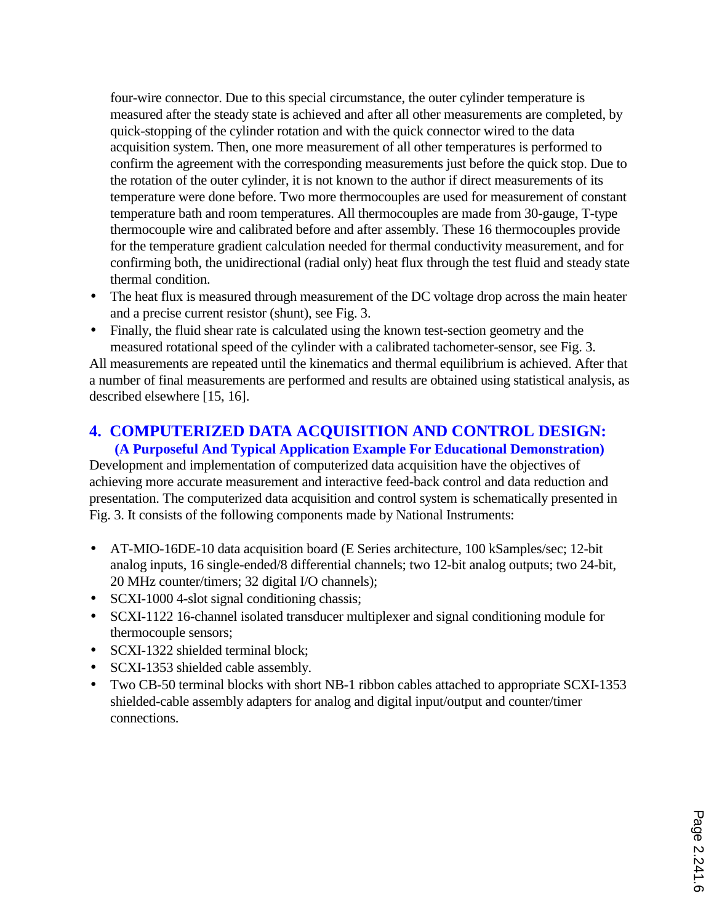four-wire connector. Due to this special circumstance, the outer cylinder temperature is measured after the steady state is achieved and after all other measurements are completed, by quick-stopping of the cylinder rotation and with the quick connector wired to the data acquisition system. Then, one more measurement of all other temperatures is performed to confirm the agreement with the corresponding measurements just before the quick stop. Due to the rotation of the outer cylinder, it is not known to the author if direct measurements of its temperature were done before. Two more thermocouples are used for measurement of constant temperature bath and room temperatures. All thermocouples are made from 30-gauge, T-type thermocouple wire and calibrated before and after assembly. These 16 thermocouples provide for the temperature gradient calculation needed for thermal conductivity measurement, and for confirming both, the unidirectional (radial only) heat flux through the test fluid and steady state thermal condition.

- The heat flux is measured through measurement of the DC voltage drop across the main heater and a precise current resistor (shunt), see Fig. 3.
- Finally, the fluid shear rate is calculated using the known test-section geometry and the measured rotational speed of the cylinder with a calibrated tachometer-sensor, see Fig. 3.

 All measurements are repeated until the kinematics and thermal equilibrium is achieved. After that a number of final measurements are performed and results are obtained using statistical analysis, as described elsewhere [15, 16].

## **4. COMPUTERIZED DATA ACQUISITION AND CONTROL DESIGN: (A Purposeful And Typical Application Example For Educational Demonstration)**

 Development and implementation of computerized data acquisition have the objectives of achieving more accurate measurement and interactive feed-back control and data reduction and presentation. The computerized data acquisition and control system is schematically presented in Fig. 3. It consists of the following components made by National Instruments:

- AT-MIO-16DE-10 data acquisition board (E Series architecture, 100 kSamples/sec; 12-bit analog inputs, 16 single-ended/8 differential channels; two 12-bit analog outputs; two 24-bit, 20 MHz counter/timers; 32 digital I/O channels);
- SCXI-1000 4-slot signal conditioning chassis;
- SCXI-1122 16-channel isolated transducer multiplexer and signal conditioning module for thermocouple sensors;
- SCXI-1322 shielded terminal block;
- SCXI-1353 shielded cable assembly.
- Two CB-50 terminal blocks with short NB-1 ribbon cables attached to appropriate SCXI-1353 shielded-cable assembly adapters for analog and digital input/output and counter/timer connections.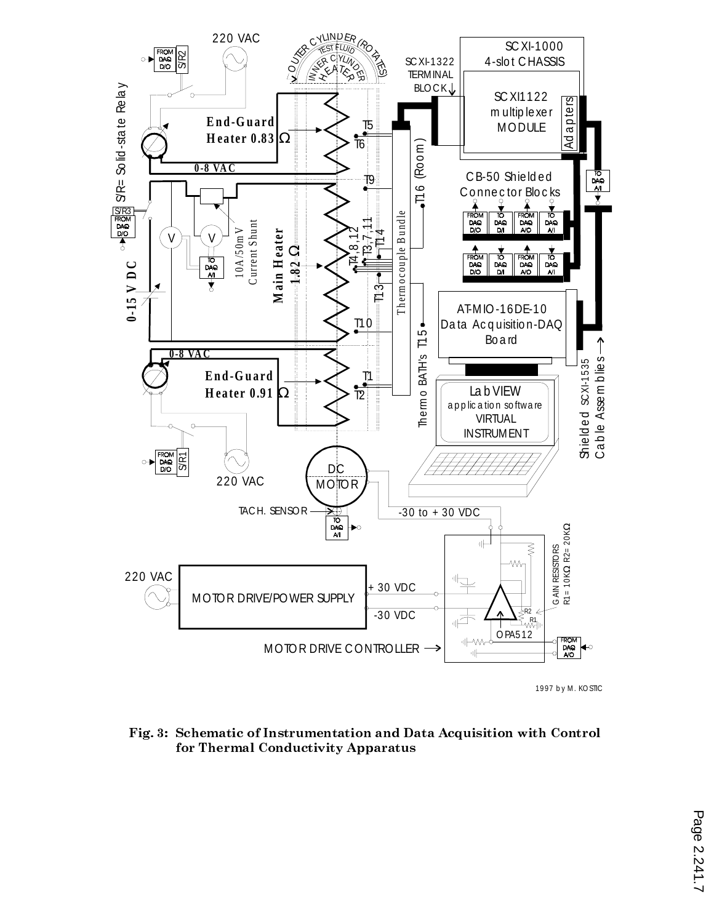

©1997 by M. KO STIC

Fig. 3: Schematic of Instrumentation and Data Acquisition with Control for Thermal Conductivity Apparatus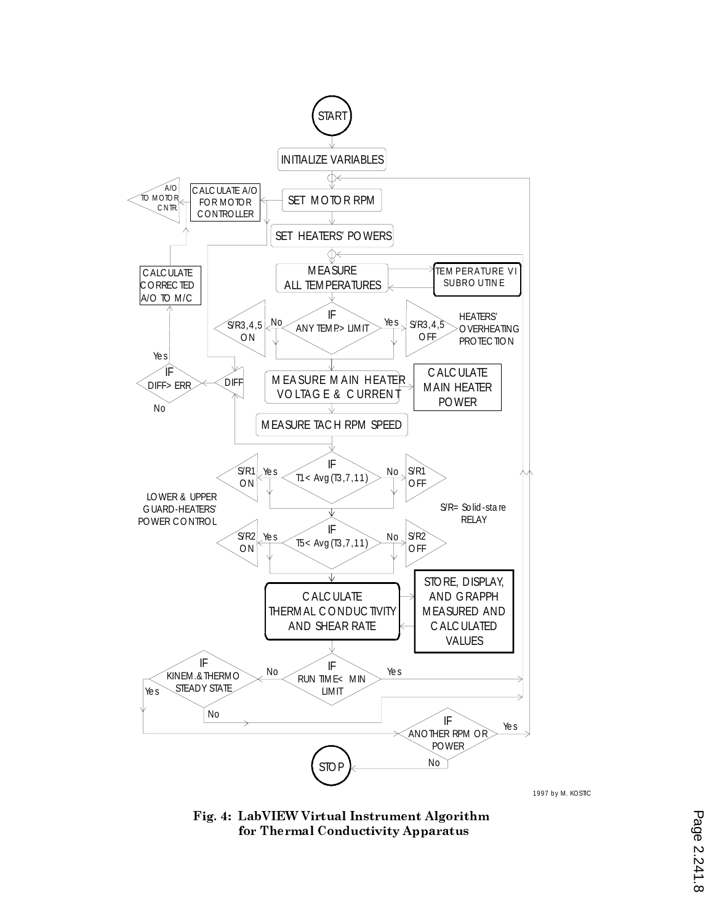

©1997 by M. KOSTIC

Fig. 4: LabVIEW Virtual Instrument Algorithm for Thermal Conductivity Apparatus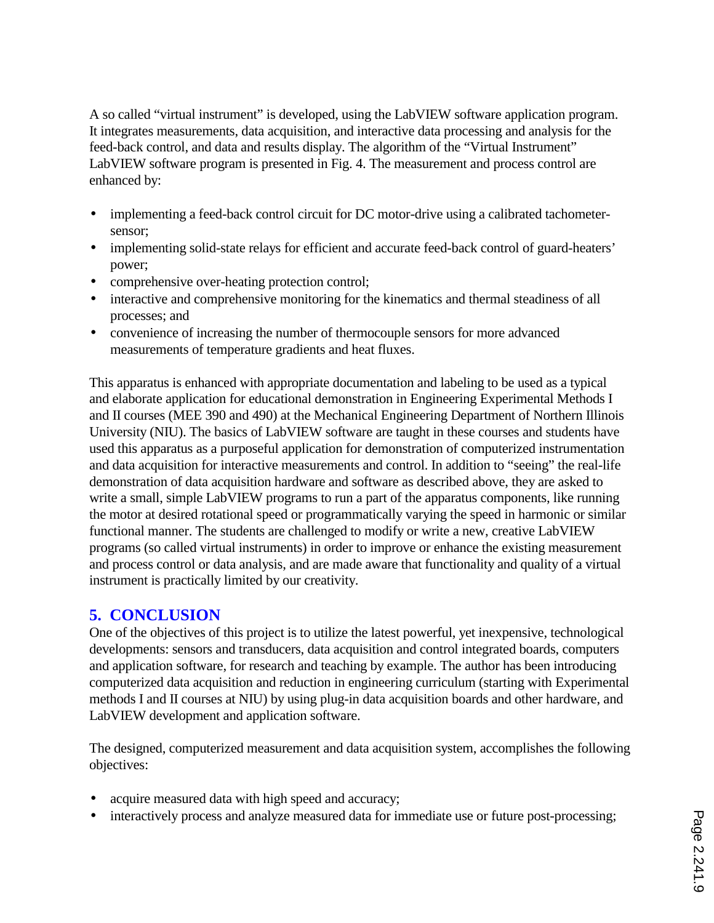A so called "virtual instrument" is developed, using the LabVIEW software application program. It integrates measurements, data acquisition, and interactive data processing and analysis for the feed-back control, and data and results display. The algorithm of the "Virtual Instrument" LabVIEW software program is presented in Fig. 4. The measurement and process control are enhanced by:

- implementing a feed-back control circuit for DC motor-drive using a calibrated tachometersensor;
- implementing solid-state relays for efficient and accurate feed-back control of guard-heaters' power;
- comprehensive over-heating protection control;
- interactive and comprehensive monitoring for the kinematics and thermal steadiness of all processes; and
- convenience of increasing the number of thermocouple sensors for more advanced measurements of temperature gradients and heat fluxes.

 This apparatus is enhanced with appropriate documentation and labeling to be used as a typical and elaborate application for educational demonstration in Engineering Experimental Methods I and II courses (MEE 390 and 490) at the Mechanical Engineering Department of Northern Illinois University (NIU). The basics of LabVIEW software are taught in these courses and students have used this apparatus as a purposeful application for demonstration of computerized instrumentation and data acquisition for interactive measurements and control. In addition to "seeing" the real-life demonstration of data acquisition hardware and software as described above, they are asked to write a small, simple LabVIEW programs to run a part of the apparatus components, like running the motor at desired rotational speed or programmatically varying the speed in harmonic or similar functional manner. The students are challenged to modify or write a new, creative LabVIEW programs (so called virtual instruments) in order to improve or enhance the existing measurement and process control or data analysis, and are made aware that functionality and quality of a virtual instrument is practically limited by our creativity.

# **5. CONCLUSION**

 One of the objectives of this project is to utilize the latest powerful, yet inexpensive, technological developments: sensors and transducers, data acquisition and control integrated boards, computers and application software, for research and teaching by example. The author has been introducing computerized data acquisition and reduction in engineering curriculum (starting with Experimental methods I and II courses at NIU) by using plug-in data acquisition boards and other hardware, and LabVIEW development and application software.

 The designed, computerized measurement and data acquisition system, accomplishes the following objectives:

- acquire measured data with high speed and accuracy;
- interactively process and analyze measured data for immediate use or future post-processing;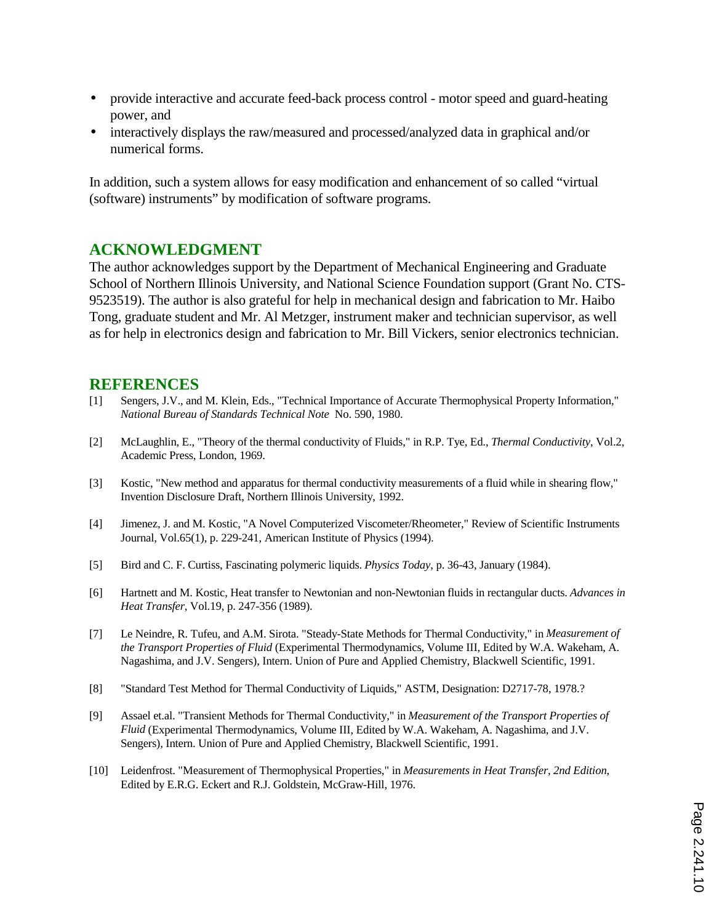- provide interactive and accurate feed-back process control motor speed and guard-heating power, and
- interactively displays the raw/measured and processed/analyzed data in graphical and/or numerical forms.

In addition, such a system allows for easy modification and enhancement of so called "virtual (software) instruments" by modification of software programs.

### **ACKNOWLEDGMENT**

The author acknowledges support by the Department of Mechanical Engineering and Graduate School of Northern Illinois University, and National Science Foundation support (Grant No. CTS-9523519). The author is also grateful for help in mechanical design and fabrication to Mr. Haibo Tong, graduate student and Mr. Al Metzger, instrument maker and technician supervisor, as well as for help in electronics design and fabrication to Mr. Bill Vickers, senior electronics technician.

#### **REFERENCES**

- [1] Sengers, J.V., and M. Klein, Eds., "Technical Importance of Accurate Thermophysical Property Information," *National Bureau of Standards Technical Note* No. 590, 1980.
- [2] McLaughlin, E., "Theory of the thermal conductivity of Fluids," in R.P. Tye, Ed., *Thermal Conductivity*, Vol.2, Academic Press, London, 1969.
- [3] Kostic, "New method and apparatus for thermal conductivity measurements of a fluid while in shearing flow," Invention Disclosure Draft, Northern Illinois University, 1992.
- [4] Jimenez, J. and M. Kostic, "A Novel Computerized Viscometer/Rheometer," Review of Scientific Instruments Journal, Vol.65(1), p. 229-241, American Institute of Physics (1994).
- [5] Bird and C. F. Curtiss, Fascinating polymeric liquids. *Physics Today*, p. 36-43, January (1984).
- [6] Hartnett and M. Kostic, Heat transfer to Newtonian and non-Newtonian fluids in rectangular ducts. *Advances in Heat Transfer*, Vol.19, p. 247-356 (1989).
- [7] Le Neindre, R. Tufeu, and A.M. Sirota. "Steady-State Methods for Thermal Conductivity," in *Measurement of the Transport Properties of Fluid* (Experimental Thermodynamics, Volume III, Edited by W.A. Wakeham, A. Nagashima, and J.V. Sengers), Intern. Union of Pure and Applied Chemistry, Blackwell Scientific, 1991.
- [8] "Standard Test Method for Thermal Conductivity of Liquids," ASTM, Designation: D2717-78, 1978.?
- [9] Assael et.al. "Transient Methods for Thermal Conductivity," in *Measurement of the Transport Properties of Fluid* (Experimental Thermodynamics, Volume III, Edited by W.A. Wakeham, A. Nagashima, and J.V. Sengers), Intern. Union of Pure and Applied Chemistry, Blackwell Scientific, 1991.
- [10] Leidenfrost. "Measurement of Thermophysical Properties," in *Measurements in Heat Transfer, 2nd Edition*, Edited by E.R.G. Eckert and R.J. Goldstein, McGraw-Hill, 1976.